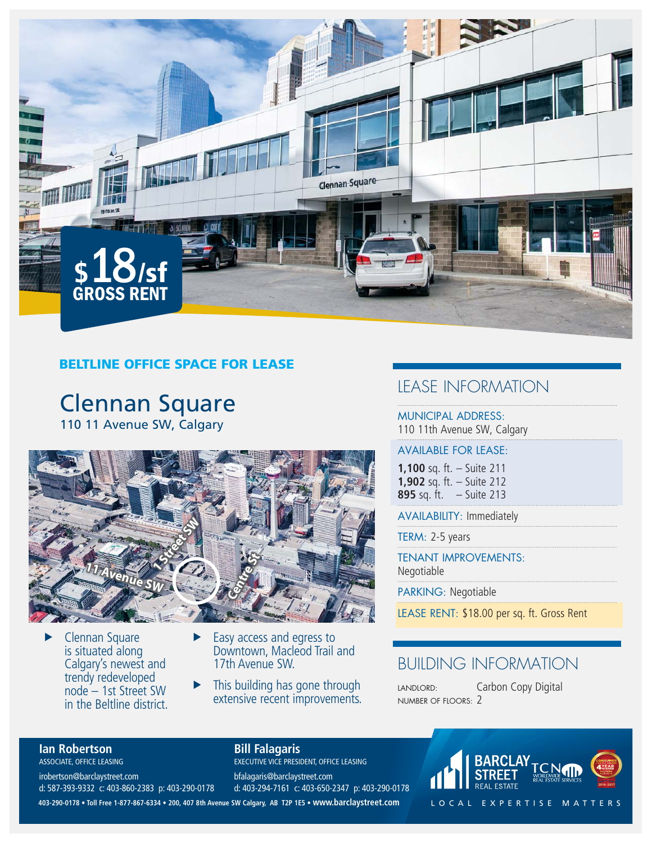

### **BELTLINE OFFICE SPACE FOR LEASE**

# Clennan Square 110 11 Avenue SW, Calgary



- $\blacktriangleright$  Clennan Square is situated along Calgary's newest and trendy redeveloped node – 1st Street SW in the Beltline district.
- $\blacktriangleright$  Easy access and egress to Downtown, Macleod Trail and 17th Avenue SW.
- This building has gone through extensive recent improvements.

## LEASE INFORMATION

MUNICIPAL ADDRESS: 110 11th Avenue SW, Calgary

#### AVAILABLE FOR LEASE:

**1,100** sq. ft. – Suite 211 **1,902** sq. ft. – Suite 212 **895** sq. ft. – Suite 213

AVAILABILITY: Immediately

TERM: 2-5 years

TENANT IMPROVEMENTS: Negotiable

PARKING: Negotiable

LEASE RENT: \$18.00 per sq. ft. Gross Rent

# BUILDING INFORMATION

LANDLORD: Carbon Copy Digital NUMBER OF FLOORS: 2

### **Ian Robertson**

ASSOCIATE, OFFICE LEASING irobertson@barclaystreet.com

d: 587-393-9332 c: 403-860-2383 p: 403-290-0178

### **Bill Falagaris**

EXECUTIVE VICE PRESIDENT, OFFICE LEASING bfalagaris@barclaystreet.com d: 403-294-7161 c: 403-650-2347 p: 403-290-0178